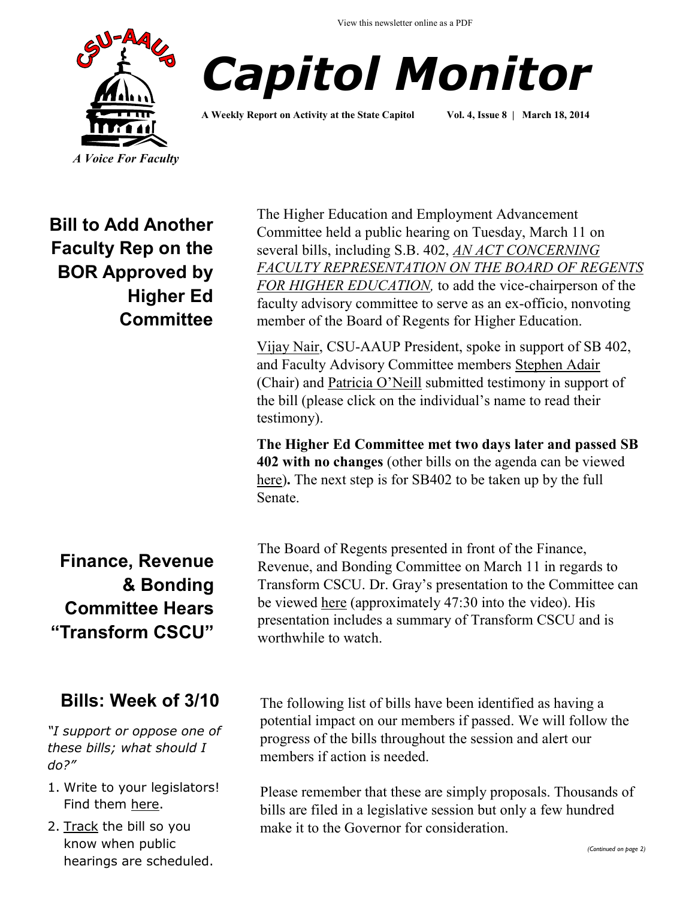



**A Weekly Report on Activity at the State Capitol Vol. 4, Issue 8 | March 18, 2014**

**Bill to Add Another Faculty Rep on the BOR Approved by Higher Ed Committee**

**Finance, Revenue & Bonding Committee Hears "Transform CSCU"**

### **Bills: Week of 3/10**

*"I support or oppose one of these bills; what should I do?"*

- 1. Write to your legislators! Find them [here.](http://www.cga.ct.gov/asp/menu/CGAFindLeg.asp)
- 2. [Track](http://www.cga.ct.gov/aspx/CGAPublicBillTrack/Register.aspx) the bill so you know when public hearings are scheduled.

The Higher Education and Employment Advancement Committee held a public hearing on Tuesday, March 11 on several bills, including S.B. 402, *[AN ACT CONCERNING](http://www.cga.ct.gov/asp/cgabillstatus/cgabillstatus.asp?selBillType=Bill&bill_num=SB00402&which_year=2014)  [FACULTY REPRESENTATION ON THE BOARD OF REGENTS](http://www.cga.ct.gov/asp/cgabillstatus/cgabillstatus.asp?selBillType=Bill&bill_num=SB00402&which_year=2014)  [FOR HIGHER EDUCATION,](http://www.cga.ct.gov/asp/cgabillstatus/cgabillstatus.asp?selBillType=Bill&bill_num=SB00402&which_year=2014)* to add the vice-chairperson of the faculty advisory committee to serve as an ex-officio, nonvoting member of the Board of Regents for Higher Education.

[Vijay Nair,](http://www.cga.ct.gov/2014/HEDdata/Tmy/2014SB-00402-R000311-Vijay%20Nair,%20President,%20CSU-AAUP-TMY.PDF) CSU-AAUP President, spoke in support of SB 402, and Faculty Advisory Committee members [Stephen Adair](http://www.cga.ct.gov/2014/HEDdata/Tmy/2014SB-00402-R000311-Stephen%20Adair,%20Ph.D.,%20Professor%20of%20Sociology,%20CCSU,%20Chair%20of%20the%20Faculty%20Advisory%20Committee%20to%20the%20BOR-TMY.PDF) (Chair) and [Patricia O'Neill](http://www.cga.ct.gov/2014/HEDdata/Tmy/2014SB-00402-R000311-Patricia%20O) submitted testimony in support of the bill (please click on the individual's name to read their testimony).

**The Higher Ed Committee met two days later and passed SB 402 with no changes** (other bills on the agenda can be viewed [here\)](http://www.cga.ct.gov/2014/HEDdata/ca/2014CA-00313-R001000HED-CA.htm)**.** The next step is for SB402 to be taken up by the full Senate.

The Board of Regents presented in front of the Finance, Revenue, and Bonding Committee on March 11 in regards to Transform CSCU. Dr. Gray's presentation to the Committee can be viewed [here](http://www.ct-n.com/ctnplayer.asp?odID=10021) (approximately 47:30 into the video). His presentation includes a summary of Transform CSCU and is worthwhile to watch.

The following list of bills have been identified as having a potential impact on our members if passed. We will follow the progress of the bills throughout the session and alert our members if action is needed.

Please remember that these are simply proposals. Thousands of bills are filed in a legislative session but only a few hundred make it to the Governor for consideration.